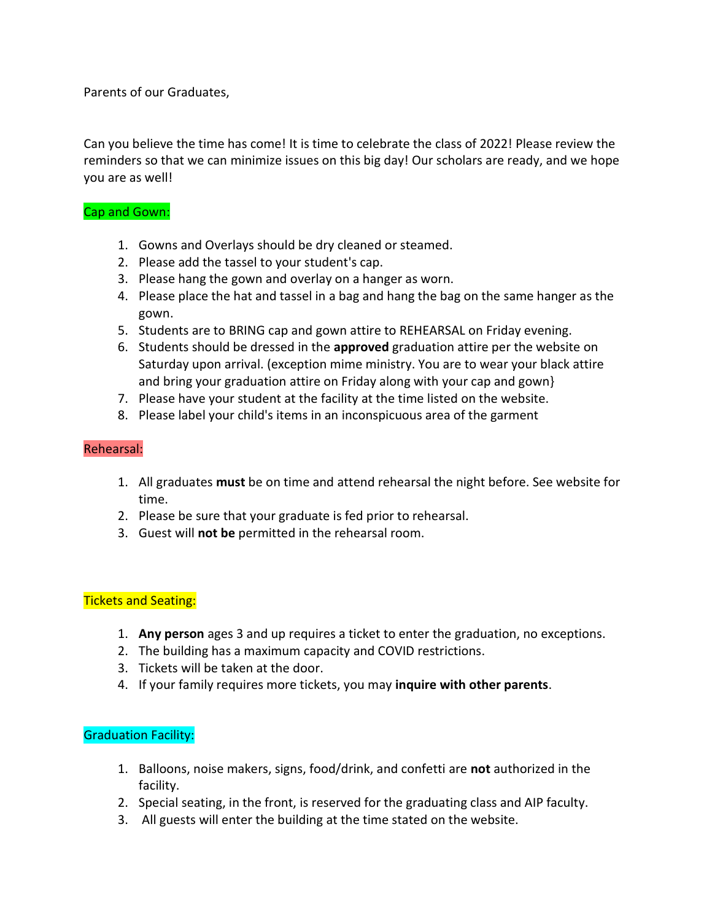Parents of our Graduates,

Can you believe the time has come! It is time to celebrate the class of 2022! Please review the reminders so that we can minimize issues on this big day! Our scholars are ready, and we hope you are as well!

## Cap and Gown:

- 1. Gowns and Overlays should be dry cleaned or steamed.
- 2. Please add the tassel to your student's cap.
- 3. Please hang the gown and overlay on a hanger as worn.
- 4. Please place the hat and tassel in a bag and hang the bag on the same hanger as the gown.
- 5. Students are to BRING cap and gown attire to REHEARSAL on Friday evening.
- 6. Students should be dressed in the approved graduation attire per the website on Saturday upon arrival. (exception mime ministry. You are to wear your black attire and bring your graduation attire on Friday along with your cap and gown}
- 7. Please have your student at the facility at the time listed on the website.
- 8. Please label your child's items in an inconspicuous area of the garment

## Rehearsal:

- 1. All graduates must be on time and attend rehearsal the night before. See website for time.
- 2. Please be sure that your graduate is fed prior to rehearsal.
- 3. Guest will not be permitted in the rehearsal room.

## Tickets and Seating:

- 1. Any person ages 3 and up requires a ticket to enter the graduation, no exceptions.
- 2. The building has a maximum capacity and COVID restrictions.
- 3. Tickets will be taken at the door.
- 4. If your family requires more tickets, you may inquire with other parents.

## Graduation Facility:

- 1. Balloons, noise makers, signs, food/drink, and confetti are not authorized in the facility.
- 2. Special seating, in the front, is reserved for the graduating class and AIP faculty.
- 3. All guests will enter the building at the time stated on the website.